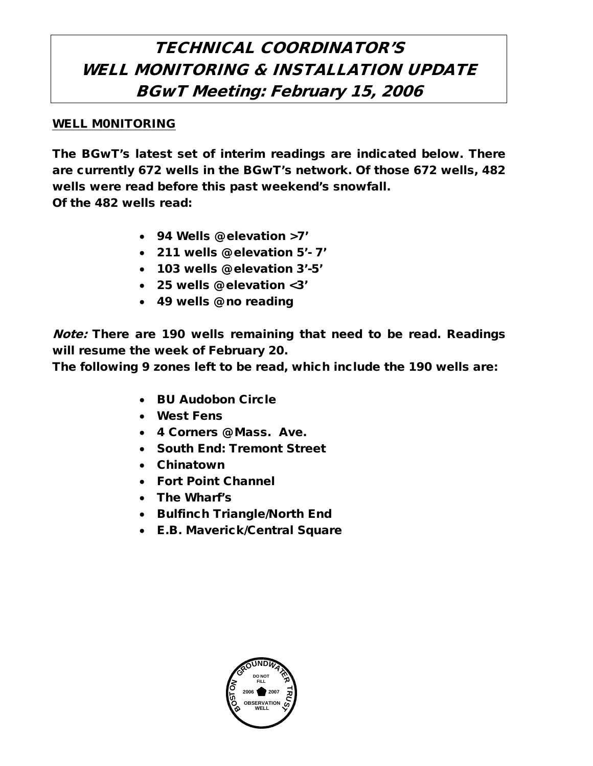## TECHNICAL COORDINATOR'S WELL MONITORING & INSTALLATION UPDATE BGwT Meeting: February 15, 2006

## WELL M0NITORING

The BGwT's latest set of interim readings are indicated below. There are currently 672 wells in the BGwT's network. Of those 672 wells, 482 wells were read before this past weekend's snowfall. Of the 482 wells read:

• 94 Wells @ elevation >7'

- 211 wells @ elevation 5'- 7'
- 103 wells @ elevation 3'-5'
- 25 wells @ elevation <3'
- 49 wells @ no reading

Note: There are 190 wells remaining that need to be read. Readings will resume the week of February 20.

The following 9 zones left to be read, which include the 190 wells are:

- BU Audobon Circle
- West Fens
- 4 Corners @ Mass. Ave.
- South End: Tremont Street
- Chinatown
- Fort Point Channel
- The Wharf's
- Bulfinch Triangle/North End
- E.B. Maverick/Central Square